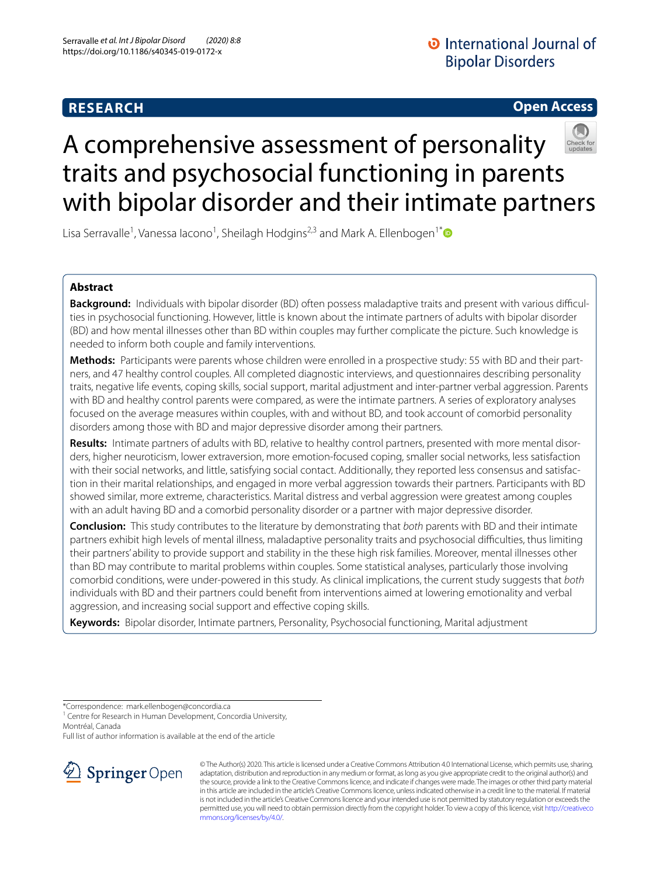# **RESEARCH**

# **Open Access**



# A comprehensive assessment of personality traits and psychosocial functioning in parents with bipolar disorder and their intimate partners

Lisa Serravalle<sup>1</sup>, Vanessa Iacono<sup>1</sup>, Sheilagh Hodgins<sup>2,3</sup> and Mark A. Ellenbogen<sup>1[\\*](http://orcid.org/0000-0001-8928-5492)</sup>

# **Abstract**

**Background:** Individuals with bipolar disorder (BD) often possess maladaptive traits and present with various difficulties in psychosocial functioning. However, little is known about the intimate partners of adults with bipolar disorder (BD) and how mental illnesses other than BD within couples may further complicate the picture. Such knowledge is needed to inform both couple and family interventions.

**Methods:** Participants were parents whose children were enrolled in a prospective study: 55 with BD and their partners, and 47 healthy control couples. All completed diagnostic interviews, and questionnaires describing personality traits, negative life events, coping skills, social support, marital adjustment and inter-partner verbal aggression. Parents with BD and healthy control parents were compared, as were the intimate partners. A series of exploratory analyses focused on the average measures within couples, with and without BD, and took account of comorbid personality disorders among those with BD and major depressive disorder among their partners.

**Results:** Intimate partners of adults with BD, relative to healthy control partners, presented with more mental disorders, higher neuroticism, lower extraversion, more emotion-focused coping, smaller social networks, less satisfaction with their social networks, and little, satisfying social contact. Additionally, they reported less consensus and satisfaction in their marital relationships, and engaged in more verbal aggression towards their partners. Participants with BD showed similar, more extreme, characteristics. Marital distress and verbal aggression were greatest among couples with an adult having BD and a comorbid personality disorder or a partner with major depressive disorder.

**Conclusion:** This study contributes to the literature by demonstrating that *both* parents with BD and their intimate partners exhibit high levels of mental illness, maladaptive personality traits and psychosocial difculties, thus limiting their partners' ability to provide support and stability in the these high risk families. Moreover, mental illnesses other than BD may contribute to marital problems within couples. Some statistical analyses, particularly those involving comorbid conditions, were under-powered in this study. As clinical implications, the current study suggests that *both* individuals with BD and their partners could beneft from interventions aimed at lowering emotionality and verbal aggression, and increasing social support and efective coping skills.

**Keywords:** Bipolar disorder, Intimate partners, Personality, Psychosocial functioning, Marital adjustment

\*Correspondence: mark.ellenbogen@concordia.ca

<sup>1</sup> Centre for Research in Human Development, Concordia University, Montréal, Canada

Full list of author information is available at the end of the article



© The Author(s) 2020. This article is licensed under a Creative Commons Attribution 4.0 International License, which permits use, sharing, adaptation, distribution and reproduction in any medium or format, as long as you give appropriate credit to the original author(s) and the source, provide a link to the Creative Commons licence, and indicate if changes were made. The images or other third party material in this article are included in the article's Creative Commons licence, unless indicated otherwise in a credit line to the material. If material is not included in the article's Creative Commons licence and your intended use is not permitted by statutory regulation or exceeds the permitted use, you will need to obtain permission directly from the copyright holder. To view a copy of this licence, visit [http://creativeco](http://creativecommons.org/licenses/by/4.0/) [mmons.org/licenses/by/4.0/.](http://creativecommons.org/licenses/by/4.0/)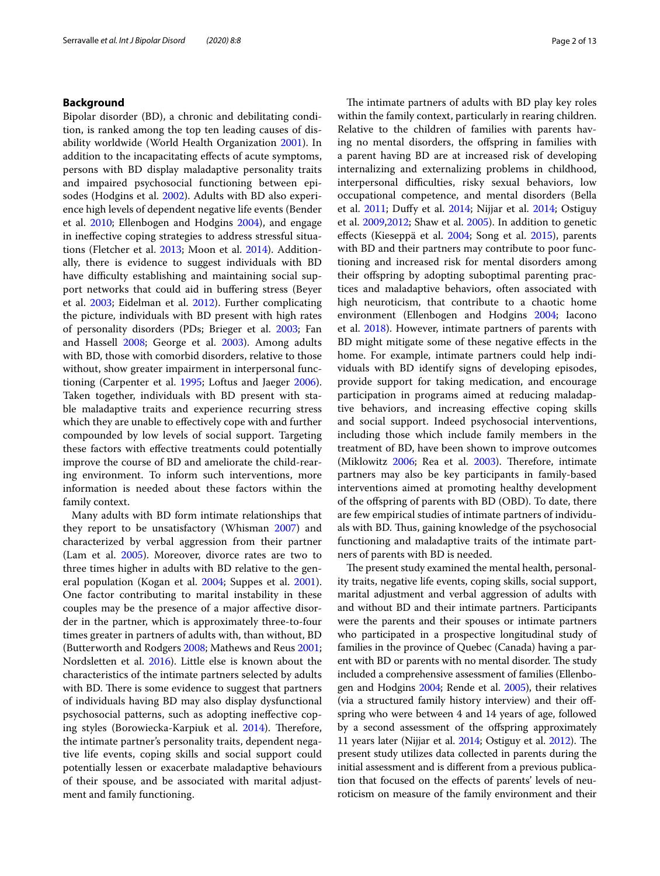## **Background**

Bipolar disorder (BD), a chronic and debilitating condition, is ranked among the top ten leading causes of disability worldwide (World Health Organization [2001\)](#page-12-0). In addition to the incapacitating efects of acute symptoms, persons with BD display maladaptive personality traits and impaired psychosocial functioning between episodes (Hodgins et al. [2002](#page-11-0)). Adults with BD also experience high levels of dependent negative life events (Bender et al. [2010](#page-11-1); Ellenbogen and Hodgins [2004\)](#page-11-2), and engage in inefective coping strategies to address stressful situations (Fletcher et al. [2013](#page-11-3); Moon et al. [2014\)](#page-12-1). Additionally, there is evidence to suggest individuals with BD have difficulty establishing and maintaining social support networks that could aid in bufering stress (Beyer et al. [2003;](#page-11-4) Eidelman et al. [2012\)](#page-11-5). Further complicating the picture, individuals with BD present with high rates of personality disorders (PDs; Brieger et al. [2003;](#page-11-6) Fan and Hassell [2008;](#page-11-7) George et al. [2003\)](#page-11-8). Among adults with BD, those with comorbid disorders, relative to those without, show greater impairment in interpersonal functioning (Carpenter et al. [1995](#page-11-9); Loftus and Jaeger [2006](#page-11-10)). Taken together, individuals with BD present with stable maladaptive traits and experience recurring stress which they are unable to efectively cope with and further compounded by low levels of social support. Targeting these factors with efective treatments could potentially improve the course of BD and ameliorate the child-rearing environment. To inform such interventions, more information is needed about these factors within the family context.

Many adults with BD form intimate relationships that they report to be unsatisfactory (Whisman [2007](#page-12-2)) and characterized by verbal aggression from their partner (Lam et al. [2005](#page-11-11)). Moreover, divorce rates are two to three times higher in adults with BD relative to the general population (Kogan et al. [2004;](#page-11-12) Suppes et al. [2001](#page-12-3)). One factor contributing to marital instability in these couples may be the presence of a major afective disorder in the partner, which is approximately three-to-four times greater in partners of adults with, than without, BD (Butterworth and Rodgers [2008](#page-11-13); Mathews and Reus [2001](#page-11-14); Nordsletten et al. [2016\)](#page-12-4). Little else is known about the characteristics of the intimate partners selected by adults with BD. There is some evidence to suggest that partners of individuals having BD may also display dysfunctional psychosocial patterns, such as adopting inefective cop-ing styles (Borowiecka-Karpiuk et al. [2014\)](#page-11-15). Therefore, the intimate partner's personality traits, dependent negative life events, coping skills and social support could potentially lessen or exacerbate maladaptive behaviours of their spouse, and be associated with marital adjustment and family functioning.

The intimate partners of adults with BD play key roles within the family context, particularly in rearing children. Relative to the children of families with parents having no mental disorders, the ofspring in families with a parent having BD are at increased risk of developing internalizing and externalizing problems in childhood, interpersonal difficulties, risky sexual behaviors, low occupational competence, and mental disorders (Bella et al. [2011](#page-11-16); Dufy et al. [2014;](#page-11-17) Nijjar et al. [2014;](#page-12-5) Ostiguy et al. [2009](#page-12-6)[,2012](#page-12-7); Shaw et al. [2005](#page-12-8)). In addition to genetic efects (Kieseppä et al. [2004;](#page-11-18) Song et al. [2015\)](#page-12-9), parents with BD and their partners may contribute to poor functioning and increased risk for mental disorders among their offspring by adopting suboptimal parenting practices and maladaptive behaviors, often associated with high neuroticism, that contribute to a chaotic home environment (Ellenbogen and Hodgins [2004](#page-11-2); Iacono et al. [2018](#page-11-19)). However, intimate partners of parents with BD might mitigate some of these negative efects in the home. For example, intimate partners could help individuals with BD identify signs of developing episodes, provide support for taking medication, and encourage participation in programs aimed at reducing maladaptive behaviors, and increasing efective coping skills and social support. Indeed psychosocial interventions, including those which include family members in the treatment of BD, have been shown to improve outcomes (Miklowitz [2006](#page-12-10); Rea et al. [2003](#page-12-11)). Therefore, intimate partners may also be key participants in family-based interventions aimed at promoting healthy development of the ofspring of parents with BD (OBD). To date, there are few empirical studies of intimate partners of individuals with BD. Thus, gaining knowledge of the psychosocial functioning and maladaptive traits of the intimate partners of parents with BD is needed.

The present study examined the mental health, personality traits, negative life events, coping skills, social support, marital adjustment and verbal aggression of adults with and without BD and their intimate partners. Participants were the parents and their spouses or intimate partners who participated in a prospective longitudinal study of families in the province of Quebec (Canada) having a parent with BD or parents with no mental disorder. The study included a comprehensive assessment of families (Ellenbogen and Hodgins [2004;](#page-11-2) Rende et al. [2005\)](#page-12-12), their relatives (via a structured family history interview) and their ofspring who were between 4 and 14 years of age, followed by a second assessment of the ofspring approximately 11 years later (Nijjar et al.  $2014$ ; Ostiguy et al.  $2012$ ). The present study utilizes data collected in parents during the initial assessment and is diferent from a previous publication that focused on the efects of parents' levels of neuroticism on measure of the family environment and their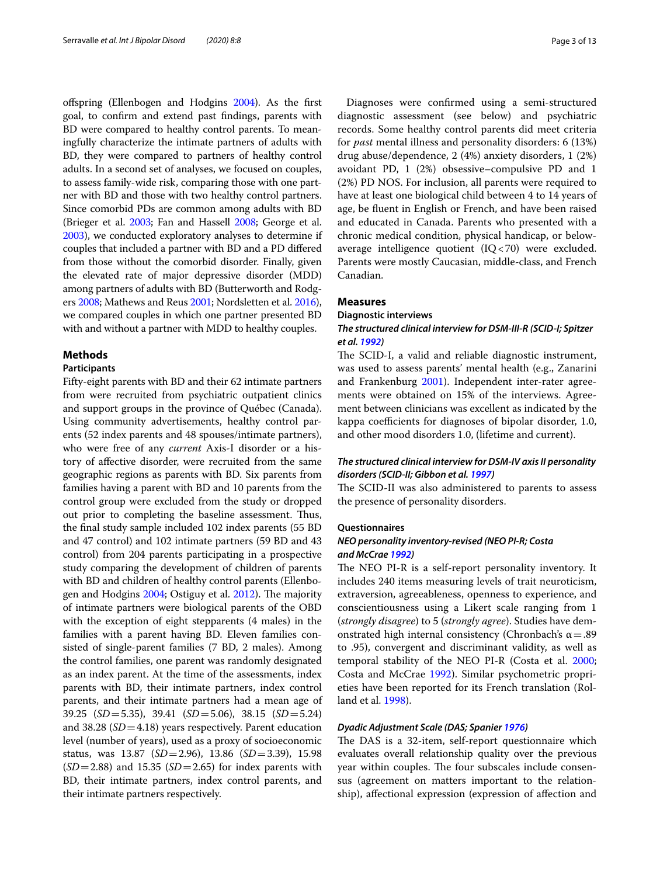ofspring (Ellenbogen and Hodgins [2004\)](#page-11-2). As the frst goal, to confrm and extend past fndings, parents with BD were compared to healthy control parents. To meaningfully characterize the intimate partners of adults with BD, they were compared to partners of healthy control adults. In a second set of analyses, we focused on couples, to assess family-wide risk, comparing those with one partner with BD and those with two healthy control partners. Since comorbid PDs are common among adults with BD (Brieger et al. [2003](#page-11-6); Fan and Hassell [2008;](#page-11-7) George et al. [2003\)](#page-11-8), we conducted exploratory analyses to determine if couples that included a partner with BD and a PD difered from those without the comorbid disorder. Finally, given the elevated rate of major depressive disorder (MDD) among partners of adults with BD (Butterworth and Rodgers [2008;](#page-11-13) Mathews and Reus [2001;](#page-11-14) Nordsletten et al. [2016](#page-12-4)), we compared couples in which one partner presented BD with and without a partner with MDD to healthy couples.

## **Methods**

# **Participants**

Fifty-eight parents with BD and their 62 intimate partners from were recruited from psychiatric outpatient clinics and support groups in the province of Québec (Canada). Using community advertisements, healthy control parents (52 index parents and 48 spouses/intimate partners), who were free of any *current* Axis-I disorder or a history of afective disorder, were recruited from the same geographic regions as parents with BD. Six parents from families having a parent with BD and 10 parents from the control group were excluded from the study or dropped out prior to completing the baseline assessment. Thus, the fnal study sample included 102 index parents (55 BD and 47 control) and 102 intimate partners (59 BD and 43 control) from 204 parents participating in a prospective study comparing the development of children of parents with BD and children of healthy control parents (Ellenbo-gen and Hodgins [2004;](#page-11-2) Ostiguy et al. [2012](#page-12-6)). The majority of intimate partners were biological parents of the OBD with the exception of eight stepparents (4 males) in the families with a parent having BD. Eleven families consisted of single-parent families (7 BD, 2 males). Among the control families, one parent was randomly designated as an index parent. At the time of the assessments, index parents with BD, their intimate partners, index control parents, and their intimate partners had a mean age of 39.25 (*SD*=5.35), 39.41 (*SD*=5.06), 38.15 (*SD*=5.24) and 38.28 (*SD*=4.18) years respectively. Parent education level (number of years), used as a proxy of socioeconomic status, was 13.87 (*SD*=2.96), 13.86 (*SD*=3.39), 15.98 (*SD*=2.88) and 15.35 (*SD*=2.65) for index parents with BD, their intimate partners, index control parents, and their intimate partners respectively.

Diagnoses were confrmed using a semi-structured diagnostic assessment (see below) and psychiatric records. Some healthy control parents did meet criteria for *past* mental illness and personality disorders: 6 (13%) drug abuse/dependence, 2 (4%) anxiety disorders, 1 (2%) avoidant PD, 1 (2%) obsessive–compulsive PD and 1 (2%) PD NOS. For inclusion, all parents were required to have at least one biological child between 4 to 14 years of age, be fuent in English or French, and have been raised and educated in Canada. Parents who presented with a chronic medical condition, physical handicap, or belowaverage intelligence quotient (IQ<70) were excluded. Parents were mostly Caucasian, middle-class, and French Canadian.

#### **Measures**

#### **Diagnostic interviews**

## *The structured clinical interview for DSM‑III‑R (SCID‑I; Spitzer et al. [1992\)](#page-12-13)*

The SCID-I, a valid and reliable diagnostic instrument, was used to assess parents' mental health (e.g., Zanarini and Frankenburg [2001](#page-12-14)). Independent inter-rater agreements were obtained on 15% of the interviews. Agreement between clinicians was excellent as indicated by the kappa coefficients for diagnoses of bipolar disorder, 1.0, and other mood disorders 1.0, (lifetime and current).

# *The structured clinical interview for DSM‑IV axis II personality disorders (SCID‑II; Gibbon et al. [1997\)](#page-11-20)*

The SCID-II was also administered to parents to assess the presence of personality disorders.

#### **Questionnaires**

# *NEO personality inventory‑revised (NEO PI‑R; Costa and McCrae [1992](#page-11-21))*

The NEO PI-R is a self-report personality inventory. It includes 240 items measuring levels of trait neuroticism, extraversion, agreeableness, openness to experience, and conscientiousness using a Likert scale ranging from 1 (*strongly disagree*) to 5 (*strongly agree*). Studies have demonstrated high internal consistency (Chronbach's  $\alpha = .89$ to .95), convergent and discriminant validity, as well as temporal stability of the NEO PI-R (Costa et al. [2000](#page-11-22); Costa and McCrae [1992](#page-11-21)). Similar psychometric proprieties have been reported for its French translation (Rolland et al. [1998](#page-12-15)).

# *Dyadic Adjustment Scale (DAS; Spanier [1976\)](#page-12-16)*

The DAS is a 32-item, self-report questionnaire which evaluates overall relationship quality over the previous year within couples. The four subscales include consensus (agreement on matters important to the relationship), afectional expression (expression of afection and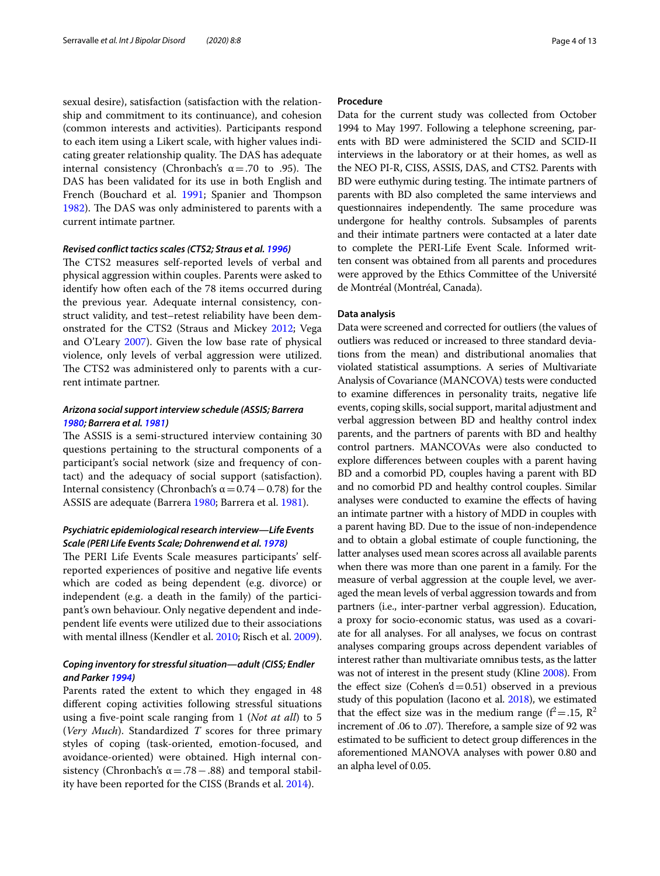sexual desire), satisfaction (satisfaction with the relationship and commitment to its continuance), and cohesion (common interests and activities). Participants respond to each item using a Likert scale, with higher values indicating greater relationship quality. The DAS has adequate internal consistency (Chronbach's  $α = .70$  to .95). The DAS has been validated for its use in both English and French (Bouchard et al. [1991;](#page-11-23) Spanier and Thompson [1982](#page-12-17)). The DAS was only administered to parents with a current intimate partner.

# *Revised confict tactics scales (CTS2; Straus et al. [1996\)](#page-12-18)*

The CTS2 measures self-reported levels of verbal and physical aggression within couples. Parents were asked to identify how often each of the 78 items occurred during the previous year*.* Adequate internal consistency, construct validity, and test–retest reliability have been demonstrated for the CTS2 (Straus and Mickey [2012;](#page-12-19) Vega and O'Leary [2007\)](#page-12-20). Given the low base rate of physical violence, only levels of verbal aggression were utilized. The CTS2 was administered only to parents with a current intimate partner.

# *Arizona social support interview schedule (ASSIS; Barrera [1980;](#page-11-24) Barrera et al. [1981\)](#page-11-25)*

The ASSIS is a semi-structured interview containing 30 questions pertaining to the structural components of a participant's social network (size and frequency of contact) and the adequacy of social support (satisfaction). Internal consistency (Chronbach's  $\alpha$  = 0.74 – 0.78) for the ASSIS are adequate (Barrera [1980;](#page-11-24) Barrera et al. [1981](#page-11-25)).

# *Psychiatric epidemiological research interview—Life Events Scale (PERI Life Events Scale; Dohrenwend et al. [1978\)](#page-11-26)*

The PERI Life Events Scale measures participants' selfreported experiences of positive and negative life events which are coded as being dependent (e.g. divorce) or independent (e.g. a death in the family) of the participant's own behaviour. Only negative dependent and independent life events were utilized due to their associations with mental illness (Kendler et al. [2010;](#page-11-27) Risch et al. [2009](#page-12-21)).

# *Coping inventory for stressful situation—adult (CISS; Endler and Parker [1994](#page-11-28))*

Parents rated the extent to which they engaged in 48 diferent coping activities following stressful situations using a fve-point scale ranging from 1 (*Not at all*) to 5 (*Very Much*). Standardized *T* scores for three primary styles of coping (task-oriented, emotion-focused, and avoidance-oriented) were obtained. High internal consistency (Chronbach's  $\alpha = .78 - .88$ ) and temporal stability have been reported for the CISS (Brands et al. [2014](#page-11-29)).

## **Procedure**

Data for the current study was collected from October 1994 to May 1997. Following a telephone screening, parents with BD were administered the SCID and SCID-II interviews in the laboratory or at their homes, as well as the NEO PI-R, CISS, ASSIS, DAS, and CTS2. Parents with BD were euthymic during testing. The intimate partners of parents with BD also completed the same interviews and questionnaires independently. The same procedure was undergone for healthy controls. Subsamples of parents and their intimate partners were contacted at a later date to complete the PERI-Life Event Scale. Informed written consent was obtained from all parents and procedures were approved by the Ethics Committee of the Université de Montréal (Montréal, Canada).

## **Data analysis**

Data were screened and corrected for outliers (the values of outliers was reduced or increased to three standard deviations from the mean) and distributional anomalies that violated statistical assumptions. A series of Multivariate Analysis of Covariance (MANCOVA) tests were conducted to examine diferences in personality traits, negative life events, coping skills, social support, marital adjustment and verbal aggression between BD and healthy control index parents, and the partners of parents with BD and healthy control partners. MANCOVAs were also conducted to explore diferences between couples with a parent having BD and a comorbid PD, couples having a parent with BD and no comorbid PD and healthy control couples. Similar analyses were conducted to examine the efects of having an intimate partner with a history of MDD in couples with a parent having BD. Due to the issue of non-independence and to obtain a global estimate of couple functioning, the latter analyses used mean scores across all available parents when there was more than one parent in a family. For the measure of verbal aggression at the couple level, we averaged the mean levels of verbal aggression towards and from partners (i.e., inter-partner verbal aggression). Education, a proxy for socio-economic status, was used as a covariate for all analyses. For all analyses, we focus on contrast analyses comparing groups across dependent variables of interest rather than multivariate omnibus tests, as the latter was not of interest in the present study (Kline [2008](#page-11-30)). From the effect size (Cohen's  $d=0.51$ ) observed in a previous study of this population (Iacono et al. [2018\)](#page-11-19), we estimated that the effect size was in the medium range ( $f^2 = .15$ ,  $R^2$ ) increment of .06 to .07). Therefore, a sample size of 92 was estimated to be sufficient to detect group differences in the aforementioned MANOVA analyses with power 0.80 and an alpha level of 0.05.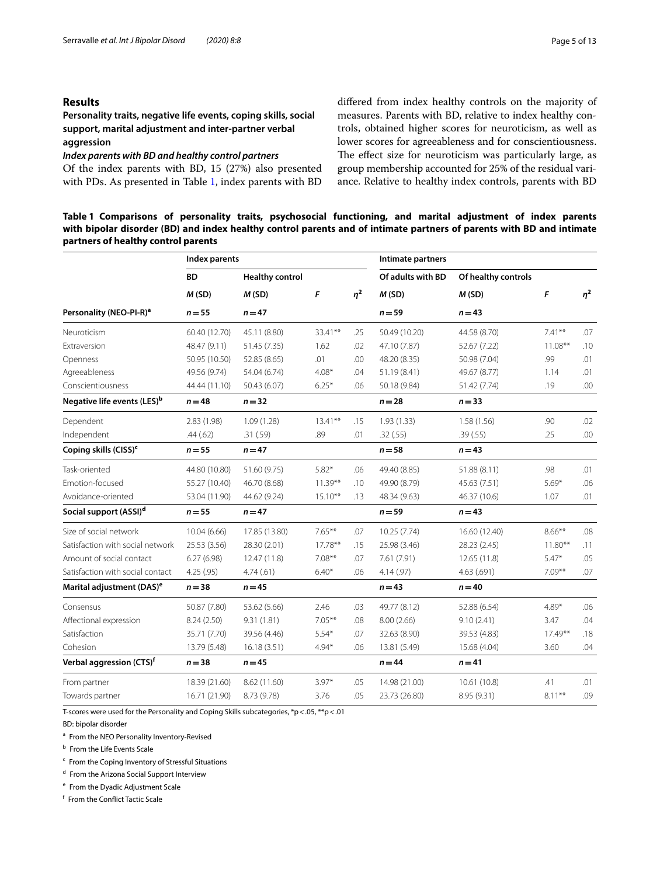# **Results**

**Personality traits, negative life events, coping skills, social support, marital adjustment and inter‑partner verbal aggression**

*Index parents with BD and healthy control partners*

Of the index parents with BD, 15 (27%) also presented with PDs. As presented in Table [1](#page-4-0), index parents with BD difered from index healthy controls on the majority of measures. Parents with BD, relative to index healthy controls, obtained higher scores for neuroticism, as well as lower scores for agreeableness and for conscientiousness. The effect size for neuroticism was particularly large, as group membership accounted for 25% of the residual variance. Relative to healthy index controls, parents with BD

<span id="page-4-0"></span>**Table 1 Comparisons of personality traits, psychosocial functioning, and marital adjustment of index parents with bipolar disorder (BD) and index healthy control parents and of intimate partners of parents with BD and intimate partners of healthy control parents**

|                                         | Index parents |                        |            |          | Intimate partners          |                     |            |          |
|-----------------------------------------|---------------|------------------------|------------|----------|----------------------------|---------------------|------------|----------|
|                                         | <b>BD</b>     | <b>Healthy control</b> | F          | $\eta^2$ | Of adults with BD<br>M(SD) | Of healthy controls | F          | $\eta^2$ |
|                                         | M(SD)         | M(SD)                  |            |          |                            | M(SD)               |            |          |
| Personality (NEO-PI-R) <sup>a</sup>     | $n = 55$      | $n = 47$               |            |          | $n = 59$                   | $n = 43$            |            |          |
| Neuroticism                             | 60.40 (12.70) | 45.11 (8.80)           | 33.41**    | .25      | 50.49 (10.20)              | 44.58 (8.70)        | $7.41***$  | .07      |
| Extraversion                            | 48.47 (9.11)  | 51.45 (7.35)           | 1.62       | .02      | 47.10 (7.87)               | 52.67 (7.22)        | $11.08***$ | .10      |
| Openness                                | 50.95 (10.50) | 52.85 (8.65)           | .01        | .00      | 48.20 (8.35)               | 50.98 (7.04)        | .99        | .01      |
| Agreeableness                           | 49.56 (9.74)  | 54.04 (6.74)           | $4.08*$    | .04      | 51.19 (8.41)               | 49.67 (8.77)        | 1.14       | .01      |
| Conscientiousness                       | 44.44 (11.10) | 50.43 (6.07)           | $6.25*$    | .06      | 50.18 (9.84)               | 51.42 (7.74)        | .19        | .00      |
| Negative life events (LES) <sup>b</sup> | $n = 48$      | $n = 32$               |            |          | $n = 28$                   | $n = 33$            |            |          |
| Dependent                               | 2.83(1.98)    | 1.09(1.28)             | $13.41***$ | .15      | 1.93(1.33)                 | 1.58(1.56)          | .90        | .02      |
| Independent                             | .44(.62)      | .31(.59)               | .89        | .01      | .32(.55)                   | .39(.55)            | .25        | .00      |
| Coping skills (CISS) <sup>c</sup>       | $n = 55$      | $n = 47$               |            |          | $n = 58$                   | $n = 43$            |            |          |
| Task-oriented                           | 44.80 (10.80) | 51.60 (9.75)           | $5.82*$    | .06      | 49.40 (8.85)               | 51.88 (8.11)        | .98        | .01      |
| <b>Emotion-focused</b>                  | 55.27 (10.40) | 46.70 (8.68)           | $11.39***$ | .10      | 49.90 (8.79)               | 45.63 (7.51)        | $5.69*$    | .06      |
| Avoidance-oriented                      | 53.04 (11.90) | 44.62 (9.24)           | $15.10***$ | .13      | 48.34 (9.63)               | 46.37 (10.6)        | 1.07       | .01      |
| Social support (ASSI) <sup>d</sup>      | $n = 55$      | $n = 47$               |            |          | $n = 59$                   | $n = 43$            |            |          |
| Size of social network                  | 10.04(6.66)   | 17.85 (13.80)          | $7.65***$  | .07      | 10.25 (7.74)               | 16.60 (12.40)       | $8.66***$  | .08      |
| Satisfaction with social network        | 25.53 (3.56)  | 28.30 (2.01)           | 17.78**    | .15      | 25.98 (3.46)               | 28.23 (2.45)        | $11.80**$  | .11      |
| Amount of social contact                | 6.27(6.98)    | 12.47 (11.8)           | $7.08**$   | .07      | 7.61 (7.91)                | 12.65 (11.8)        | $5.47*$    | .05      |
| Satisfaction with social contact        | 4.25 (.95)    | 4.74(61)               | $6.40*$    | .06      | 4.14(.97)                  | 4.63(.691)          | $7.09***$  | .07      |
| Marital adjustment (DAS) <sup>e</sup>   | $n = 38$      | $n = 45$               |            |          | $n = 43$                   | $n = 40$            |            |          |
| Consensus                               | 50.87 (7.80)  | 53.62 (5.66)           | 2.46       | .03      | 49.77 (8.12)               | 52.88 (6.54)        | $4.89*$    | .06      |
| Affectional expression                  | 8.24 (2.50)   | 9.31(1.81)             | $7.05***$  | .08      | 8.00(2.66)                 | 9.10(2.41)          | 3.47       | .04      |
| Satisfaction                            | 35.71 (7.70)  | 39.56 (4.46)           | $5.54*$    | .07      | 32.63 (8.90)               | 39.53 (4.83)        | $17.49**$  | .18      |
| Cohesion                                | 13.79 (5.48)  | 16.18(3.51)            | $4.94*$    | .06      | 13.81 (5.49)               | 15.68 (4.04)        | 3.60       | .04      |
| Verbal aggression (CTS) <sup>f</sup>    | $n = 38$      | $n = 45$               |            |          | $n = 44$                   | $n = 41$            |            |          |
| From partner                            | 18.39 (21.60) | 8.62 (11.60)           | $3.97*$    | .05      | 14.98 (21.00)              | 10.61 (10.8)        | .41        | .01      |
| Towards partner                         | 16.71 (21.90) | 8.73 (9.78)            | 3.76       | .05      | 23.73 (26.80)              | 8.95 (9.31)         | $8.11***$  | .09      |

T-scores were used for the Personality and Coping Skills subcategories, \*p<.05, \*\*p<.01

BD: bipolar disorder

<sup>a</sup> From the NEO Personality Inventory-Revised

**b** From the Life Events Scale

 $c$  From the Coping Inventory of Stressful Situations

<sup>d</sup> From the Arizona Social Support Interview

<sup>e</sup> From the Dyadic Adjustment Scale

<sup>f</sup> From the Confict Tactic Scale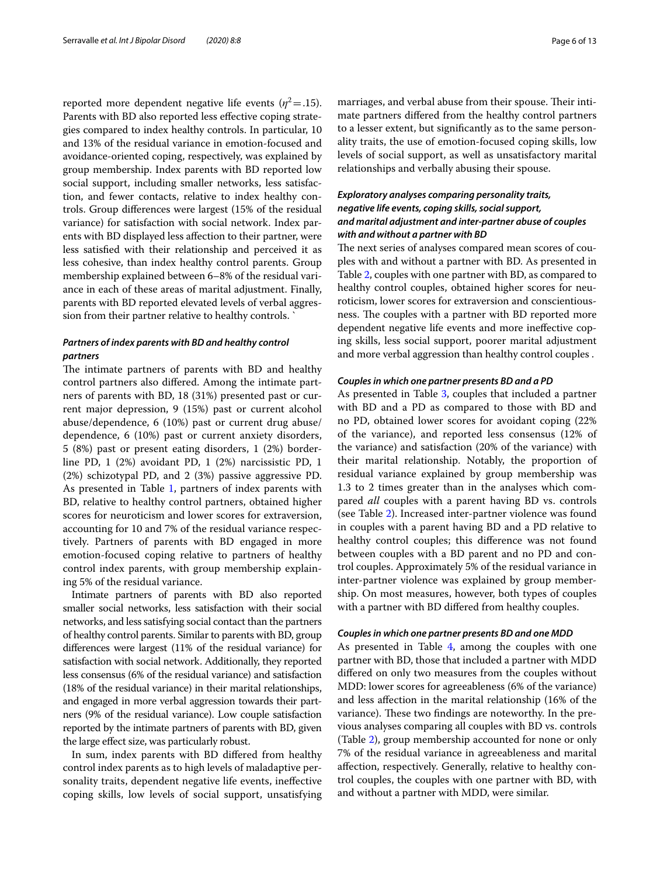reported more dependent negative life events ( $\eta^2$  = .15). Parents with BD also reported less efective coping strategies compared to index healthy controls. In particular, 10 and 13% of the residual variance in emotion-focused and avoidance-oriented coping, respectively, was explained by group membership. Index parents with BD reported low social support, including smaller networks, less satisfaction, and fewer contacts, relative to index healthy controls. Group diferences were largest (15% of the residual variance) for satisfaction with social network. Index parents with BD displayed less afection to their partner, were less satisfed with their relationship and perceived it as less cohesive, than index healthy control parents. Group membership explained between 6–8% of the residual variance in each of these areas of marital adjustment. Finally, parents with BD reported elevated levels of verbal aggression from their partner relative to healthy controls. `

# *Partners of index parents with BD and healthy control partners*

The intimate partners of parents with BD and healthy control partners also difered. Among the intimate partners of parents with BD, 18 (31%) presented past or current major depression, 9 (15%) past or current alcohol abuse/dependence, 6 (10%) past or current drug abuse/ dependence, 6 (10%) past or current anxiety disorders, 5 (8%) past or present eating disorders, 1 (2%) borderline PD, 1 (2%) avoidant PD, 1 (2%) narcissistic PD, 1 (2%) schizotypal PD, and 2 (3%) passive aggressive PD. As presented in Table [1](#page-4-0), partners of index parents with BD, relative to healthy control partners, obtained higher scores for neuroticism and lower scores for extraversion, accounting for 10 and 7% of the residual variance respectively. Partners of parents with BD engaged in more emotion-focused coping relative to partners of healthy control index parents, with group membership explaining 5% of the residual variance.

Intimate partners of parents with BD also reported smaller social networks, less satisfaction with their social networks, and less satisfying social contact than the partners of healthy control parents. Similar to parents with BD, group diferences were largest (11% of the residual variance) for satisfaction with social network. Additionally, they reported less consensus (6% of the residual variance) and satisfaction (18% of the residual variance) in their marital relationships, and engaged in more verbal aggression towards their partners (9% of the residual variance). Low couple satisfaction reported by the intimate partners of parents with BD, given the large efect size, was particularly robust.

In sum, index parents with BD difered from healthy control index parents as to high levels of maladaptive personality traits, dependent negative life events, inefective coping skills, low levels of social support, unsatisfying marriages, and verbal abuse from their spouse. Their intimate partners difered from the healthy control partners to a lesser extent, but signifcantly as to the same personality traits, the use of emotion-focused coping skills, low levels of social support, as well as unsatisfactory marital relationships and verbally abusing their spouse.

# *Exploratory analyses comparing personality traits, negative life events, coping skills, social support, and marital adjustment and inter‑partner abuse of couples with and without a partner with BD*

The next series of analyses compared mean scores of couples with and without a partner with BD. As presented in Table [2,](#page-6-0) couples with one partner with BD, as compared to healthy control couples, obtained higher scores for neuroticism, lower scores for extraversion and conscientiousness. The couples with a partner with BD reported more dependent negative life events and more inefective coping skills, less social support, poorer marital adjustment and more verbal aggression than healthy control couples .

## *Couples in which one partner presents BD and a PD*

As presented in Table [3](#page-7-0), couples that included a partner with BD and a PD as compared to those with BD and no PD, obtained lower scores for avoidant coping (22% of the variance), and reported less consensus (12% of the variance) and satisfaction (20% of the variance) with their marital relationship. Notably, the proportion of residual variance explained by group membership was 1.3 to 2 times greater than in the analyses which compared *all* couples with a parent having BD vs. controls (see Table [2](#page-6-0)). Increased inter-partner violence was found in couples with a parent having BD and a PD relative to healthy control couples; this diference was not found between couples with a BD parent and no PD and control couples. Approximately 5% of the residual variance in inter-partner violence was explained by group membership. On most measures, however, both types of couples with a partner with BD difered from healthy couples.

## *Couples in which one partner presents BD and one MDD*

As presented in Table [4,](#page-8-0) among the couples with one partner with BD, those that included a partner with MDD difered on only two measures from the couples without MDD: lower scores for agreeableness (6% of the variance) and less afection in the marital relationship (16% of the variance). These two findings are noteworthy. In the previous analyses comparing all couples with BD vs. controls (Table [2\)](#page-6-0), group membership accounted for none or only 7% of the residual variance in agreeableness and marital afection, respectively. Generally, relative to healthy control couples, the couples with one partner with BD, with and without a partner with MDD, were similar.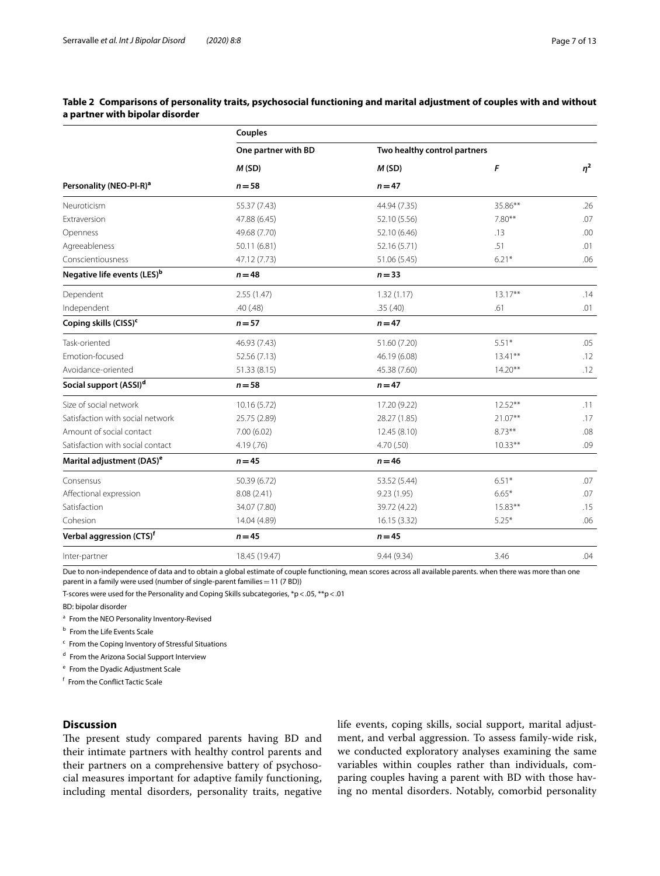# <span id="page-6-0"></span>**Table 2 Comparisons of personality traits, psychosocial functioning and marital adjustment of couples with and without a partner with bipolar disorder**

|                                         | Couples             |                              |            |          |  |  |  |  |  |
|-----------------------------------------|---------------------|------------------------------|------------|----------|--|--|--|--|--|
|                                         | One partner with BD | Two healthy control partners |            | $\eta^2$ |  |  |  |  |  |
|                                         | M(SD)               | M(SD)                        | F          |          |  |  |  |  |  |
| Personality (NEO-PI-R) <sup>a</sup>     | $n = 58$            | $n = 47$                     |            |          |  |  |  |  |  |
| Neuroticism                             | 55.37 (7.43)        | 44.94 (7.35)                 | 35.86**    | .26      |  |  |  |  |  |
| Extraversion                            | 47.88 (6.45)        | 52.10 (5.56)                 | $7.80**$   | .07      |  |  |  |  |  |
| Openness                                | 49.68 (7.70)        | 52.10 (6.46)                 | .13        | .00      |  |  |  |  |  |
| Agreeableness                           | 50.11 (6.81)        | 52.16 (5.71)                 | .51        | .01      |  |  |  |  |  |
| Conscientiousness                       | 47.12 (7.73)        | 51.06 (5.45)                 | $6.21*$    | .06      |  |  |  |  |  |
| Negative life events (LES) <sup>b</sup> | $n = 48$            | $n = 33$                     |            |          |  |  |  |  |  |
| Dependent                               | 2.55(1.47)          | 1.32(1.17)                   | $13.17***$ | .14      |  |  |  |  |  |
| Independent                             | .40(.48)            | .35(.40)                     | .61        | .01      |  |  |  |  |  |
| Coping skills (CISS) <sup>c</sup>       | $n = 57$            | $n = 47$                     |            |          |  |  |  |  |  |
| Task-oriented                           | 46.93 (7.43)        | 51.60 (7.20)                 | $5.51*$    | .05      |  |  |  |  |  |
| Emotion-focused                         | 52.56 (7.13)        | 46.19 (6.08)                 | $13.41***$ | .12      |  |  |  |  |  |
| Avoidance-oriented                      | 51.33 (8.15)        | 45.38 (7.60)                 | $14.20**$  | .12      |  |  |  |  |  |
| Social support (ASSI) <sup>d</sup>      | $n = 58$            | $n = 47$                     |            |          |  |  |  |  |  |
| Size of social network                  | 10.16 (5.72)        | 17.20 (9.22)                 | $12.52**$  | .11      |  |  |  |  |  |
| Satisfaction with social network        | 25.75 (2.89)        | 28.27 (1.85)                 | $21.07**$  | .17      |  |  |  |  |  |
| Amount of social contact                | 7.00 (6.02)         | 12.45 (8.10)                 | $8.73**$   | .08      |  |  |  |  |  |
| Satisfaction with social contact        | 4.19(.76)           | 4.70(.50)                    | $10.33**$  | .09      |  |  |  |  |  |
| Marital adjustment (DAS) <sup>e</sup>   | $n = 45$            | $n = 46$                     |            |          |  |  |  |  |  |
| Consensus                               | 50.39 (6.72)        | 53.52 (5.44)                 | $6.51*$    | .07      |  |  |  |  |  |
| Affectional expression                  | 8.08 (2.41)         | 9.23 (1.95)                  | $6.65*$    | .07      |  |  |  |  |  |
| Satisfaction                            | 34.07 (7.80)        | 39.72 (4.22)                 | $15.83**$  | .15      |  |  |  |  |  |
| Cohesion                                | 14.04 (4.89)        | 16.15 (3.32)                 | $5.25*$    | .06      |  |  |  |  |  |
| Verbal aggression (CTS) <sup>f</sup>    | $n = 45$            | $n = 45$                     |            |          |  |  |  |  |  |
| Inter-partner                           | 18.45 (19.47)       | 9.44(9.34)                   | 3.46       | .04      |  |  |  |  |  |
|                                         |                     |                              |            |          |  |  |  |  |  |

Due to non-independence of data and to obtain a global estimate of couple functioning, mean scores across all available parents. when there was more than one parent in a family were used (number of single-parent families=11 (7 BD))

T-scores were used for the Personality and Coping Skills subcategories, \*p<.05, \*\*p<.01

BD: bipolar disorder

- <sup>a</sup> From the NEO Personality Inventory-Revised
- **b** From the Life Events Scale
- <sup>c</sup> From the Coping Inventory of Stressful Situations

<sup>d</sup> From the Arizona Social Support Interview

<sup>e</sup> From the Dyadic Adjustment Scale

<sup>f</sup> From the Confict Tactic Scale

# **Discussion**

The present study compared parents having BD and their intimate partners with healthy control parents and their partners on a comprehensive battery of psychosocial measures important for adaptive family functioning, including mental disorders, personality traits, negative life events, coping skills, social support, marital adjustment, and verbal aggression. To assess family-wide risk, we conducted exploratory analyses examining the same variables within couples rather than individuals, comparing couples having a parent with BD with those having no mental disorders. Notably, comorbid personality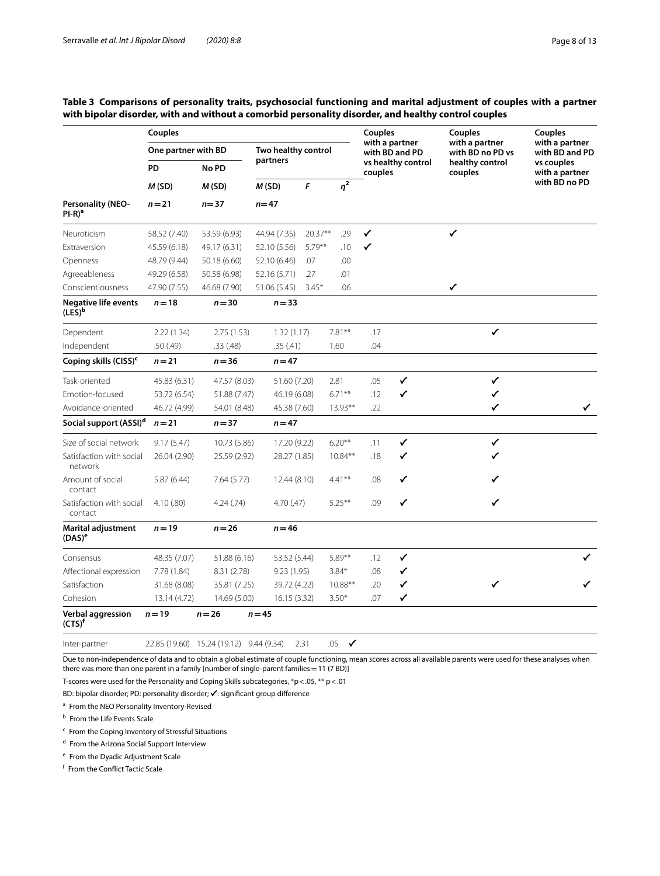# <span id="page-7-0"></span>**Table 3 Comparisons of personality traits, psychosocial functioning and marital adjustment of couples with a partner with bipolar disorder, with and without a comorbid personality disorder, and healthy control couples**

|                                          | <b>Couples</b>      |                                         |                     |           |                     |                                  | Couples | Couples                            | <b>Couples</b>                   |
|------------------------------------------|---------------------|-----------------------------------------|---------------------|-----------|---------------------|----------------------------------|---------|------------------------------------|----------------------------------|
|                                          | One partner with BD |                                         | Two healthy control |           |                     | with a partner<br>with BD and PD |         | with a partner<br>with BD no PD vs | with a partner<br>with BD and PD |
|                                          | PD                  | No PD<br>M(SD)<br>$n = 37$              | partners            |           |                     | vs healthy control<br>couples    |         | healthy control<br>couples         | vs couples<br>with a partner     |
| <b>Personality (NEO-</b><br>$PI-R)^a$    | M(SD)<br>$n = 21$   |                                         | M(SD)               | F         | $\eta^2$            |                                  |         |                                    | with BD no PD                    |
|                                          |                     |                                         | $n = 47$            |           |                     |                                  |         |                                    |                                  |
| Neuroticism                              | 58.52 (7.40)        | 53.59 (6.93)                            | 44.94 (7.35)        | $20.37**$ | .29                 | $\checkmark$                     |         | $\checkmark$                       |                                  |
| Extraversion                             | 45.59 (6.18)        | 49.17 (6.31)                            | 52.10 (5.56)        | $5.79***$ | .10                 | ✓                                |         |                                    |                                  |
| Openness                                 | 48.79 (9.44)        | 50.18 (6.60)                            | 52.10 (6.46)        | .07       | .00                 |                                  |         |                                    |                                  |
| Agreeableness                            | 49.29 (6.58)        | 50.58 (6.98)                            | 52.16 (5.71)        | .27       | .01                 |                                  |         |                                    |                                  |
| Conscientiousness                        | 47.90 (7.55)        | 46.68 (7.90)                            | 51.06 (5.45)        | $3.45*$   | .06                 |                                  |         | ✓                                  |                                  |
| <b>Negative life events</b><br>$(LES)^b$ | $n = 18$            | $n = 30$                                | $n = 33$            |           |                     |                                  |         |                                    |                                  |
| Dependent                                | 2.22(1.34)          | 2.75(1.53)                              | 1.32(1.17)          |           | $7.81***$           | .17                              |         | $\checkmark$                       |                                  |
| Independent                              | .50(.49)            | .33(.48)                                | .35(.41)            |           | 1.60                | .04                              |         |                                    |                                  |
| Coping skills (CISS) <sup>c</sup>        | $n = 21$            | $n = 36$                                | $n = 47$            |           |                     |                                  |         |                                    |                                  |
| Task-oriented                            | 45.83 (6.31)        | 47.57 (8.03)                            | 51.60 (7.20)        |           | 2.81                | .05                              | ✓       | ✓                                  |                                  |
| Emotion-focused                          | 53.72 (6.54)        | 51.88 (7.47)                            | 46.19 (6.08)        |           | $6.71***$           | .12                              | ✓       | ✓                                  |                                  |
| Avoidance-oriented                       | 46.72 (4.99)        | 54.01 (8.48)                            | 45.38 (7.60)        |           | $13.93***$          | .22                              |         | ✓                                  | ✓                                |
| Social support (ASSI) <sup>d</sup>       | $n = 21$            | $n = 37$                                | $n = 47$            |           |                     |                                  |         |                                    |                                  |
| Size of social network                   | 9.17(5.47)          | 10.73 (5.86)                            | 17.20 (9.22)        |           | $6.20**$            | .11                              | ✓       | ✓                                  |                                  |
| Satisfaction with social<br>network      | 26.04 (2.90)        | 25.59 (2.92)                            | 28.27 (1.85)        |           | $10.84***$          | .18                              | ✓       | ✔                                  |                                  |
| Amount of social<br>contact              | 5.87(6.44)          | 7.64(5.77)                              | 12.44 (8.10)        |           | $4.41***$           | .08                              | ✓       | ✓                                  |                                  |
| Satisfaction with social<br>contact      | 4.10(.80)           | 4.24(.74)                               | 4.70(0.47)          |           | $5.25***$           | .09                              | ✓       | ✓                                  |                                  |
| <b>Marital adjustment</b><br>$(DAS)^e$   | $n = 19$            | $n = 26$                                | $n = 46$            |           |                     |                                  |         |                                    |                                  |
| Consensus                                | 48.35 (7.07)        | 51.88 (6.16)                            | 53.52 (5.44)        |           | 5.89**              | .12                              | ✓       |                                    | ✓                                |
| Affectional expression                   | 7.78 (1.84)         | 8.31(2.78)                              | 9.23(1.95)          |           | $3.84*$             | .08                              | ✓       |                                    |                                  |
| Satisfaction                             | 31.68 (8.08)        | 35.81 (7.25)                            | 39.72 (4.22)        |           | 10.88**             | .20                              | ✓       | ✓                                  | ✓                                |
| Cohesion                                 | 13.14 (4.72)        | 14.69 (5.00)                            | 16.15 (3.32)        |           | $3.50*$             | .07                              | ✓       |                                    |                                  |
| Verbal aggression<br>$(CTS)^f$           | $n = 19$            | $n = 26$                                | $n = 45$            |           |                     |                                  |         |                                    |                                  |
| Inter-partner                            |                     | 22.85 (19.60) 15.24 (19.12) 9.44 (9.34) |                     | 2.31      | .05<br>$\checkmark$ |                                  |         |                                    |                                  |

Due to non-independence of data and to obtain a global estimate of couple functioning, mean scores across all available parents were used for these analyses when there was more than one parent in a family [number of single-parent families =  $11$  (7 BD)]

T-scores were used for the Personality and Coping Skills subcategories,  ${}^*p$  < .05,  ${}^{**}p$  < .01

BD: bipolar disorder; PD: personality disorder; ✔: signifcant group diference

<sup>a</sup> From the NEO Personality Inventory-Revised

**b** From the Life Events Scale

 $c$  From the Coping Inventory of Stressful Situations

<sup>d</sup> From the Arizona Social Support Interview

<sup>e</sup> From the Dyadic Adjustment Scale

<sup>f</sup> From the Confict Tactic Scale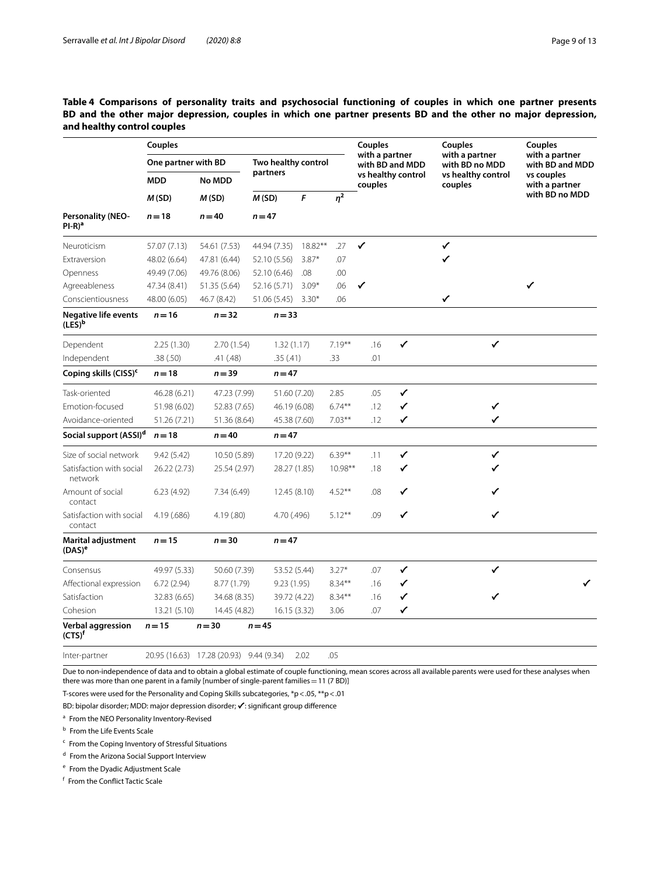# <span id="page-8-0"></span>**Table 4 Comparisons of personality traits and psychosocial functioning of couples in which one partner presents BD and the other major depression, couples in which one partner presents BD and the other no major depression, and healthy control couples**

|                                          | Couples             |                                         |                     |         |           | <b>Couples</b>                    |              | Couples                          | <b>Couples</b>                    |
|------------------------------------------|---------------------|-----------------------------------------|---------------------|---------|-----------|-----------------------------------|--------------|----------------------------------|-----------------------------------|
|                                          | One partner with BD |                                         | Two healthy control |         |           | with a partner<br>with BD and MDD |              | with a partner<br>with BD no MDD | with a partner<br>with BD and MDD |
|                                          | <b>MDD</b>          | No MDD<br>M(SD)<br>$n = 40$             | partners            |         |           | vs healthy control<br>couples     |              | vs healthy control<br>couples    | vs couples<br>with a partner      |
| Personality (NEO-<br>$Pl-R)^a$           | M(SD)<br>$n = 18$   |                                         | M(SD)               | F       | $\eta^2$  |                                   |              |                                  | with BD no MDD                    |
|                                          |                     |                                         | $n = 47$            |         |           |                                   |              |                                  |                                   |
| Neuroticism                              | 57.07 (7.13)        | 54.61 (7.53)                            | 44.94 (7.35)        | 18.82** | .27       | $\checkmark$                      |              | $\checkmark$                     |                                   |
| Extraversion                             | 48.02 (6.64)        | 47.81 (6.44)                            | 52.10 (5.56)        | $3.87*$ | .07       |                                   |              | ✓                                |                                   |
| Openness                                 | 49.49 (7.06)        | 49.76 (8.06)                            | 52.10 (6.46)        | .08     | .00       |                                   |              |                                  |                                   |
| Agreeableness                            | 47.34 (8.41)        | 51.35 (5.64)                            | 52.16 (5.71)        | $3.09*$ | .06       | ✓                                 |              |                                  | ✓                                 |
| Conscientiousness                        | 48.00 (6.05)        | 46.7 (8.42)                             | 51.06 (5.45)        | $3.30*$ | .06       |                                   |              | ✓                                |                                   |
| <b>Negative life events</b><br>$(LES)^b$ | $n = 16$            | $n = 32$                                | $n = 33$            |         |           |                                   |              |                                  |                                   |
| Dependent                                | 2.25(1.30)          | 2.70(1.54)                              | 1.32(1.17)          |         | $7.19**$  | .16                               | $\checkmark$ | $\checkmark$                     |                                   |
| Independent                              | .38(.50)            | .41 (.48)                               | .35(.41)            |         | .33       | .01                               |              |                                  |                                   |
| Coping skills (CISS) <sup>c</sup>        | $n = 18$            | $n = 39$                                | $n = 47$            |         |           |                                   |              |                                  |                                   |
| Task-oriented                            | 46.28 (6.21)        | 47.23 (7.99)                            | 51.60 (7.20)        |         | 2.85      | .05                               | ✓            |                                  |                                   |
| <b>Emotion-focused</b>                   | 51.98 (6.02)        | 52.83 (7.65)                            | 46.19 (6.08)        |         | $6.74***$ | .12                               | ✓            | ✓                                |                                   |
| Avoidance-oriented                       | 51.26 (7.21)        | 51.36 (8.64)                            | 45.38 (7.60)        |         | $7.03***$ | .12                               | ✓            | ✓                                |                                   |
| Social support (ASSI) <sup>d</sup>       | $n = 18$            | $n = 40$                                | $n = 47$            |         |           |                                   |              |                                  |                                   |
| Size of social network                   | 9.42(5.42)          | 10.50 (5.89)                            | 17.20 (9.22)        |         | $6.39***$ | .11                               | ✓            | ✓                                |                                   |
| Satisfaction with social<br>network      | 26.22 (2.73)        | 25.54 (2.97)                            | 28.27 (1.85)        |         | 10.98**   | .18                               | ✓            |                                  |                                   |
| Amount of social<br>contact              | 6.23(4.92)          | 7.34 (6.49)                             | 12.45 (8.10)        |         | $4.52***$ | .08                               | ✓            |                                  |                                   |
| Satisfaction with social<br>contact      | 4.19 (.686)         | 4.19(0.80)                              | 4.70 (.496)         |         | $5.12***$ | .09                               | ✓            | ✓                                |                                   |
| <b>Marital adjustment</b><br>$(DAS)^e$   | $n = 15$            | $n = 30$                                | $n = 47$            |         |           |                                   |              |                                  |                                   |
| Consensus                                | 49.97 (5.33)        | 50.60 (7.39)                            | 53.52 (5.44)        |         | $3.27*$   | .07                               | ✓            | ✓                                |                                   |
| Affectional expression                   | 6.72 (2.94)         | 8.77 (1.79)                             | 9.23(1.95)          |         | $8.34***$ | .16                               | ✓            |                                  | ✓                                 |
| Satisfaction                             | 32.83 (6.65)        | 34.68 (8.35)                            | 39.72 (4.22)        |         | $8.34***$ | .16                               | ✓            | ✓                                |                                   |
| Cohesion                                 | 13.21 (5.10)        | 14.45 (4.82)                            | 16.15 (3.32)        |         | 3.06      | .07                               | ✓            |                                  |                                   |
| <b>Verbal aggression</b><br>$(CTS)^f$    | $n = 15$            | $n = 30$                                | $n = 45$            |         |           |                                   |              |                                  |                                   |
| Inter-partner                            |                     | 20.95 (16.63) 17.28 (20.93) 9.44 (9.34) |                     | 2.02    | .05       |                                   |              |                                  |                                   |

Due to non-independence of data and to obtain a global estimate of couple functioning, mean scores across all available parents were used for these analyses when there was more than one parent in a family [number of single-parent families = 11 (7 BD)]

T-scores were used for the Personality and Coping Skills subcategories, \*p<.05, \*\*p<.01

BD: bipolar disorder; MDD: major depression disorder; ✔: signifcant group diference

<sup>a</sup> From the NEO Personality Inventory-Revised

**b** From the Life Events Scale

 $c$  From the Coping Inventory of Stressful Situations

<sup>d</sup> From the Arizona Social Support Interview

<sup>e</sup> From the Dyadic Adjustment Scale

<sup>f</sup> From the Confict Tactic Scale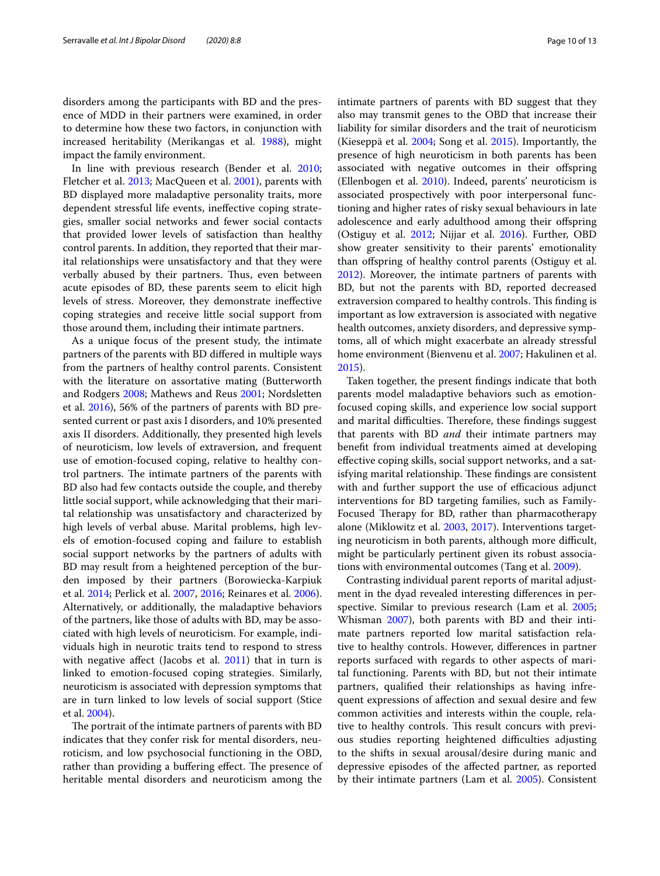disorders among the participants with BD and the presence of MDD in their partners were examined, in order to determine how these two factors, in conjunction with increased heritability (Merikangas et al. [1988\)](#page-12-22), might impact the family environment.

In line with previous research (Bender et al. [2010](#page-11-1); Fletcher et al. [2013](#page-11-3); MacQueen et al. [2001\)](#page-11-31), parents with BD displayed more maladaptive personality traits, more dependent stressful life events, inefective coping strategies, smaller social networks and fewer social contacts that provided lower levels of satisfaction than healthy control parents. In addition, they reported that their marital relationships were unsatisfactory and that they were verbally abused by their partners. Thus, even between acute episodes of BD, these parents seem to elicit high levels of stress. Moreover, they demonstrate inefective coping strategies and receive little social support from those around them, including their intimate partners.

As a unique focus of the present study, the intimate partners of the parents with BD difered in multiple ways from the partners of healthy control parents. Consistent with the literature on assortative mating (Butterworth and Rodgers [2008;](#page-11-13) Mathews and Reus [2001;](#page-11-14) Nordsletten et al. [2016](#page-12-4)), 56% of the partners of parents with BD presented current or past axis I disorders, and 10% presented axis II disorders. Additionally, they presented high levels of neuroticism, low levels of extraversion, and frequent use of emotion-focused coping, relative to healthy control partners. The intimate partners of the parents with BD also had few contacts outside the couple, and thereby little social support, while acknowledging that their marital relationship was unsatisfactory and characterized by high levels of verbal abuse. Marital problems, high levels of emotion-focused coping and failure to establish social support networks by the partners of adults with BD may result from a heightened perception of the burden imposed by their partners (Borowiecka-Karpiuk et al. [2014;](#page-11-15) Perlick et al. [2007](#page-12-23), [2016;](#page-12-24) Reinares et al. [2006](#page-12-25)). Alternatively, or additionally, the maladaptive behaviors of the partners, like those of adults with BD, may be associated with high levels of neuroticism. For example, individuals high in neurotic traits tend to respond to stress with negative affect (Jacobs et al.  $2011$ ) that in turn is linked to emotion-focused coping strategies. Similarly, neuroticism is associated with depression symptoms that are in turn linked to low levels of social support (Stice et al. [2004\)](#page-12-26).

The portrait of the intimate partners of parents with BD indicates that they confer risk for mental disorders, neuroticism, and low psychosocial functioning in the OBD, rather than providing a buffering effect. The presence of heritable mental disorders and neuroticism among the intimate partners of parents with BD suggest that they also may transmit genes to the OBD that increase their liability for similar disorders and the trait of neuroticism (Kieseppä et al. [2004](#page-11-18); Song et al. [2015\)](#page-12-9). Importantly, the presence of high neuroticism in both parents has been associated with negative outcomes in their offspring (Ellenbogen et al. [2010\)](#page-11-33). Indeed, parents' neuroticism is associated prospectively with poor interpersonal functioning and higher rates of risky sexual behaviours in late adolescence and early adulthood among their offspring (Ostiguy et al. [2012](#page-12-6); Nijjar et al. [2016\)](#page-12-27). Further, OBD show greater sensitivity to their parents' emotionality than ofspring of healthy control parents (Ostiguy et al. [2012](#page-12-6)). Moreover, the intimate partners of parents with BD, but not the parents with BD, reported decreased extraversion compared to healthy controls. This finding is important as low extraversion is associated with negative health outcomes, anxiety disorders, and depressive symptoms, all of which might exacerbate an already stressful home environment (Bienvenu et al. [2007;](#page-11-34) Hakulinen et al. [2015](#page-11-35)).

Taken together, the present fndings indicate that both parents model maladaptive behaviors such as emotionfocused coping skills, and experience low social support and marital difficulties. Therefore, these findings suggest that parents with BD *and* their intimate partners may beneft from individual treatments aimed at developing efective coping skills, social support networks, and a satisfying marital relationship. These findings are consistent with and further support the use of efficacious adjunct interventions for BD targeting families, such as Family-Focused Therapy for BD, rather than pharmacotherapy alone (Miklowitz et al. [2003](#page-12-28), [2017](#page-12-29)). Interventions targeting neuroticism in both parents, although more difficult, might be particularly pertinent given its robust associations with environmental outcomes (Tang et al. [2009](#page-12-30)).

Contrasting individual parent reports of marital adjustment in the dyad revealed interesting diferences in perspective. Similar to previous research (Lam et al. [2005](#page-11-11); Whisman [2007\)](#page-12-2), both parents with BD and their intimate partners reported low marital satisfaction relative to healthy controls. However, diferences in partner reports surfaced with regards to other aspects of marital functioning. Parents with BD, but not their intimate partners, qualifed their relationships as having infrequent expressions of afection and sexual desire and few common activities and interests within the couple, relative to healthy controls. This result concurs with previous studies reporting heightened difficulties adjusting to the shifts in sexual arousal/desire during manic and depressive episodes of the afected partner, as reported by their intimate partners (Lam et al. [2005\)](#page-11-11). Consistent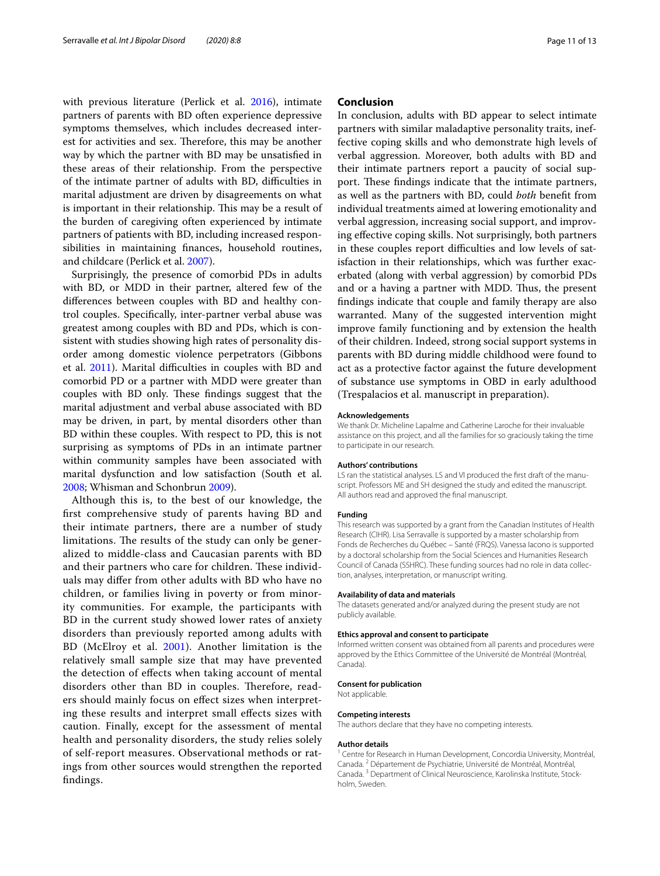with previous literature (Perlick et al. [2016\)](#page-12-23), intimate partners of parents with BD often experience depressive symptoms themselves, which includes decreased interest for activities and sex. Therefore, this may be another way by which the partner with BD may be unsatisfed in these areas of their relationship. From the perspective of the intimate partner of adults with BD, difficulties in marital adjustment are driven by disagreements on what is important in their relationship. This may be a result of the burden of caregiving often experienced by intimate partners of patients with BD, including increased responsibilities in maintaining fnances, household routines, and childcare (Perlick et al. [2007\)](#page-12-24).

Surprisingly, the presence of comorbid PDs in adults with BD, or MDD in their partner, altered few of the diferences between couples with BD and healthy control couples. Specifcally, inter-partner verbal abuse was greatest among couples with BD and PDs, which is consistent with studies showing high rates of personality disorder among domestic violence perpetrators (Gibbons et al. [2011\)](#page-11-36). Marital difficulties in couples with BD and comorbid PD or a partner with MDD were greater than couples with BD only. These findings suggest that the marital adjustment and verbal abuse associated with BD may be driven, in part, by mental disorders other than BD within these couples. With respect to PD, this is not surprising as symptoms of PDs in an intimate partner within community samples have been associated with marital dysfunction and low satisfaction (South et al. [2008](#page-12-31); Whisman and Schonbrun [2009](#page-12-32)).

Although this is, to the best of our knowledge, the frst comprehensive study of parents having BD and their intimate partners, there are a number of study limitations. The results of the study can only be generalized to middle-class and Caucasian parents with BD and their partners who care for children. These individuals may difer from other adults with BD who have no children, or families living in poverty or from minority communities. For example, the participants with BD in the current study showed lower rates of anxiety disorders than previously reported among adults with BD (McElroy et al. [2001\)](#page-11-37). Another limitation is the relatively small sample size that may have prevented the detection of efects when taking account of mental disorders other than BD in couples. Therefore, readers should mainly focus on efect sizes when interpreting these results and interpret small efects sizes with caution. Finally, except for the assessment of mental health and personality disorders, the study relies solely of self-report measures. Observational methods or ratings from other sources would strengthen the reported fndings.

## **Conclusion**

In conclusion, adults with BD appear to select intimate partners with similar maladaptive personality traits, ineffective coping skills and who demonstrate high levels of verbal aggression. Moreover, both adults with BD and their intimate partners report a paucity of social support. These findings indicate that the intimate partners, as well as the partners with BD, could *both* beneft from individual treatments aimed at lowering emotionality and verbal aggression, increasing social support, and improving efective coping skills. Not surprisingly, both partners in these couples report difficulties and low levels of satisfaction in their relationships, which was further exacerbated (along with verbal aggression) by comorbid PDs and or a having a partner with MDD. Thus, the present fndings indicate that couple and family therapy are also warranted. Many of the suggested intervention might improve family functioning and by extension the health of their children. Indeed, strong social support systems in parents with BD during middle childhood were found to act as a protective factor against the future development of substance use symptoms in OBD in early adulthood (Trespalacios et al. manuscript in preparation).

#### **Acknowledgements**

We thank Dr. Micheline Lapalme and Catherine Laroche for their invaluable assistance on this project, and all the families for so graciously taking the time to participate in our research.

#### **Authors' contributions**

LS ran the statistical analyses. LS and VI produced the frst draft of the manuscript. Professors ME and SH designed the study and edited the manuscript. All authors read and approved the fnal manuscript.

#### **Funding**

This research was supported by a grant from the Canadian Institutes of Health Research (CIHR). Lisa Serravalle is supported by a master scholarship from Fonds de Recherches du Québec – Santé (FRQS). Vanessa Iacono is supported by a doctoral scholarship from the Social Sciences and Humanities Research Council of Canada (SSHRC). These funding sources had no role in data collection, analyses, interpretation, or manuscript writing.

#### **Availability of data and materials**

The datasets generated and/or analyzed during the present study are not publicly available.

#### **Ethics approval and consent to participate**

Informed written consent was obtained from all parents and procedures were approved by the Ethics Committee of the Université de Montréal (Montréal, Canada).

#### **Consent for publication**

Not applicable.

#### **Competing interests**

The authors declare that they have no competing interests.

#### **Author details**

<sup>1</sup> Centre for Research in Human Development, Concordia University, Montréal, Canada. <sup>2</sup> Département de Psychiatrie, Université de Montréal, Montréal, Canada. <sup>3</sup> Department of Clinical Neuroscience, Karolinska Institute, Stockholm, Sweden.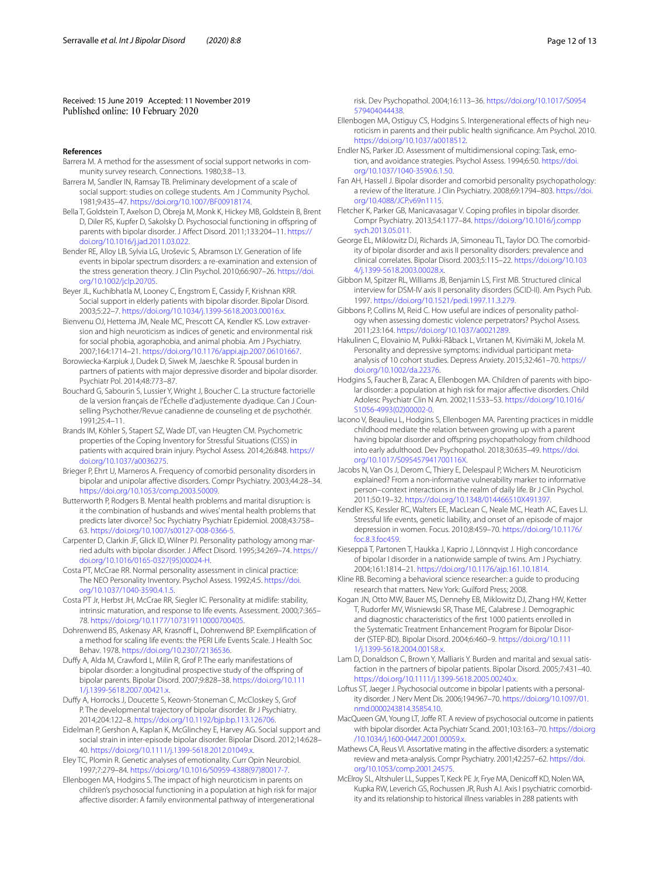Received: 15 June 2019 Accepted: 11 November 2019 Published online: 10 February 2020

#### **References**

- <span id="page-11-24"></span>Barrera M. A method for the assessment of social support networks in community survey research. Connections. 1980;3:8–13.
- <span id="page-11-25"></span>Barrera M, Sandler IN, Ramsay TB. Preliminary development of a scale of social support: studies on college students. Am J Community Psychol. 1981;9:435–47. [https://doi.org/10.1007/BF00918174.](https://doi.org/10.1007/BF00918174)
- <span id="page-11-16"></span>Bella T, Goldstein T, Axelson D, Obreja M, Monk K, Hickey MB, Goldstein B, Brent D, Diler RS, Kupfer D, Sakolsky D. Psychosocial functioning in offspring of parents with bipolar disorder. J Afect Disord. 2011;133:204–11. [https://](https://doi.org/10.1016/j.jad.2011.03.022) [doi.org/10.1016/j.jad.2011.03.022](https://doi.org/10.1016/j.jad.2011.03.022).
- <span id="page-11-1"></span>Bender RE, Alloy LB, Sylvia LG, Uroševic S, Abramson LY. Generation of life events in bipolar spectrum disorders: a re-examination and extension of the stress generation theory. J Clin Psychol. 2010;66:907–26. [https://doi.](https://doi.org/10.1002/jclp.20705) [org/10.1002/jclp.20705.](https://doi.org/10.1002/jclp.20705)
- <span id="page-11-4"></span>Beyer JL, Kuchibhatla M, Looney C, Engstrom E, Cassidy F, Krishnan KRR. Social support in elderly patients with bipolar disorder. Bipolar Disord. 2003;5:22–7. [https://doi.org/10.1034/j.1399-5618.2003.00016.x.](https://doi.org/10.1034/j.1399-5618.2003.00016.x)
- <span id="page-11-34"></span>Bienvenu OJ, Hettema JM, Neale MC, Prescott CA, Kendler KS. Low extraversion and high neuroticism as indices of genetic and environmental risk for social phobia, agoraphobia, and animal phobia. Am J Psychiatry. 2007;164:1714–21. [https://doi.org/10.1176/appi.ajp.2007.06101667.](https://doi.org/10.1176/appi.ajp.2007.06101667)
- <span id="page-11-15"></span>Borowiecka-Karpiuk J, Dudek D, Siwek M, Jaeschke R. Spousal burden in partners of patients with major depressive disorder and bipolar disorder. Psychiatr Pol. 2014;48:773–87.
- <span id="page-11-23"></span>Bouchard G, Sabourin S, Lussier Y, Wright J, Boucher C. La structure factorielle de la version français de l'Échelle d'adjustemente dyadique. Can J Counselling Psychother/Revue canadienne de counseling et de psychothér. 1991;25:4–11.
- <span id="page-11-29"></span>Brands IM, Köhler S, Stapert SZ, Wade DT, van Heugten CM. Psychometric properties of the Coping Inventory for Stressful Situations (CISS) in patients with acquired brain injury. Psychol Assess. 2014;26:848. [https://](https://doi.org/10.1037/a0036275) [doi.org/10.1037/a0036275](https://doi.org/10.1037/a0036275).
- <span id="page-11-6"></span>Brieger P, Ehrt U, Marneros A. Frequency of comorbid personality disorders in bipolar and unipolar afective disorders. Compr Psychiatry. 2003;44:28–34. [https://doi.org/10.1053/comp.2003.50009.](https://doi.org/10.1053/comp.2003.50009)
- <span id="page-11-13"></span>Butterworth P, Rodgers B. Mental health problems and marital disruption: is it the combination of husbands and wives' mental health problems that predicts later divorce? Soc Psychiatry Psychiatr Epidemiol. 2008;43:758– 63. [https://doi.org/10.1007/s00127-008-0366-5.](https://doi.org/10.1007/s00127-008-0366-5)
- <span id="page-11-9"></span>Carpenter D, Clarkin JF, Glick ID, Wilner PJ. Personality pathology among married adults with bipolar disorder. J Afect Disord. 1995;34:269–74. [https://](https://doi.org/10.1016/0165-0327(95)00024-H) [doi.org/10.1016/0165-0327\(95\)00024-H](https://doi.org/10.1016/0165-0327(95)00024-H).
- <span id="page-11-21"></span>Costa PT, McCrae RR. Normal personality assessment in clinical practice: The NEO Personality Inventory. Psychol Assess. 1992;4:5. [https://doi.](https://doi.org/10.1037/1040-3590.4.1.5) [org/10.1037/1040-3590.4.1.5.](https://doi.org/10.1037/1040-3590.4.1.5)
- <span id="page-11-22"></span>Costa PT Jr, Herbst JH, McCrae RR, Siegler IC. Personality at midlife: stability, intrinsic maturation, and response to life events. Assessment. 2000;7:365– 78. [https://doi.org/10.1177/107319110000700405.](https://doi.org/10.1177/107319110000700405)
- <span id="page-11-26"></span>Dohrenwend BS, Askenasy AR, Krasnoff L, Dohrenwend BP. Exemplification of a method for scaling life events: the PERI Life Events Scale. J Health Soc Behav. 1978. [https://doi.org/10.2307/2136536.](https://doi.org/10.2307/2136536)
- Dufy A, Alda M, Crawford L, Milin R, Grof P. The early manifestations of bipolar disorder: a longitudinal prospective study of the ofspring of bipolar parents. Bipolar Disord. 2007;9:828–38. [https://doi.org/10.111](https://doi.org/10.1111/j.1399-5618.2007.00421.x) [1/j.1399-5618.2007.00421.x](https://doi.org/10.1111/j.1399-5618.2007.00421.x).
- <span id="page-11-17"></span>Dufy A, Horrocks J, Doucette S, Keown-Stoneman C, McCloskey S, Grof P. The developmental trajectory of bipolar disorder. Br J Psychiatry. 2014;204:122–8. [https://doi.org/10.1192/bjp.bp.113.126706.](https://doi.org/10.1192/bjp.bp.113.126706)
- <span id="page-11-5"></span>Eidelman P, Gershon A, Kaplan K, McGlinchey E, Harvey AG. Social support and social strain in inter-episode bipolar disorder. Bipolar Disord. 2012;14:628– 40. <https://doi.org/10.1111/j.1399-5618.2012.01049.x>.
- Eley TC, Plomin R. Genetic analyses of emotionality. Curr Opin Neurobiol. 1997;7:279–84. [https://doi.org/10.1016/S0959-4388\(97\)80017-7.](https://doi.org/10.1016/S0959-4388(97)80017-7)
- <span id="page-11-2"></span>Ellenbogen MA, Hodgins S. The impact of high neuroticism in parents on children's psychosocial functioning in a population at high risk for major afective disorder: A family environmental pathway of intergenerational

risk. Dev Psychopathol. 2004;16:113–36. [https://doi.org/10.1017/S0954](https://doi.org/10.1017/S0954579404044438) [579404044438.](https://doi.org/10.1017/S0954579404044438)

- <span id="page-11-33"></span>Ellenbogen MA, Ostiguy CS, Hodgins S. Intergenerational effects of high neuroticism in parents and their public health signifcance. Am Psychol. 2010. [https://doi.org/10.1037/a0018512.](https://doi.org/10.1037/a0018512)
- <span id="page-11-28"></span>Endler NS, Parker JD. Assessment of multidimensional coping: Task, emotion, and avoidance strategies. Psychol Assess. 1994;6:50. [https://doi.](https://doi.org/10.1037/1040-3590.6.1.50) [org/10.1037/1040-3590.6.1.50.](https://doi.org/10.1037/1040-3590.6.1.50)
- <span id="page-11-7"></span>Fan AH, Hassell J. Bipolar disorder and comorbid personality psychopathology: a review of the literature. J Clin Psychiatry. 2008;69:1794–803. [https://doi.](https://doi.org/10.4088/JCP.v69n1115) [org/10.4088/JCP.v69n1115.](https://doi.org/10.4088/JCP.v69n1115)
- <span id="page-11-3"></span>Fletcher K, Parker GB, Manicavasagar V. Coping profles in bipolar disorder. Compr Psychiatry. 2013;54:1177–84. [https://doi.org/10.1016/j.compp](https://doi.org/10.1016/j.comppsych.2013.05.011) [sych.2013.05.011.](https://doi.org/10.1016/j.comppsych.2013.05.011)
- <span id="page-11-8"></span>George EL, Miklowitz DJ, Richards JA, Simoneau TL, Taylor DO. The comorbidity of bipolar disorder and axis II personality disorders: prevalence and clinical correlates. Bipolar Disord. 2003;5:115–22. [https://doi.org/10.103](https://doi.org/10.1034/j.1399-5618.2003.00028.x) [4/j.1399-5618.2003.00028.x](https://doi.org/10.1034/j.1399-5618.2003.00028.x).
- <span id="page-11-20"></span>Gibbon M, Spitzer RL, Williams JB, Benjamin LS, First MB. Structured clinical interview for DSM-IV axis II personality disorders (SCID-II). Am Psych Pub. 1997.<https://doi.org/10.1521/pedi.1997.11.3.279>.
- <span id="page-11-36"></span>Gibbons P, Collins M, Reid C. How useful are indices of personality pathology when assessing domestic violence perpetrators? Psychol Assess. 2011;23:164.<https://doi.org/10.1037/a0021289>.
- <span id="page-11-35"></span>Hakulinen C, Elovainio M, Pulkki-Råback L, Virtanen M, Kivimäki M, Jokela M. Personality and depressive symptoms: individual participant metaanalysis of 10 cohort studies. Depress Anxiety. 2015;32:461–70. [https://](https://doi.org/10.1002/da.22376) [doi.org/10.1002/da.22376.](https://doi.org/10.1002/da.22376)
- <span id="page-11-0"></span>Hodgins S, Faucher B, Zarac A, Ellenbogen MA. Children of parents with bipolar disorder: a population at high risk for major afective disorders. Child Adolesc Psychiatr Clin N Am. 2002;11:533–53. [https://doi.org/10.1016/](https://doi.org/10.1016/S1056-4993(02)00002-0) [S1056-4993\(02\)00002-0](https://doi.org/10.1016/S1056-4993(02)00002-0).
- <span id="page-11-19"></span>Iacono V, Beaulieu L, Hodgins S, Ellenbogen MA. Parenting practices in middle childhood mediate the relation between growing up with a parent having bipolar disorder and ofspring psychopathology from childhood into early adulthood. Dev Psychopathol. 2018;30:635–49. [https://doi.](https://doi.org/10.1017/S095457941700116X) [org/10.1017/S095457941700116X.](https://doi.org/10.1017/S095457941700116X)
- <span id="page-11-32"></span>Jacobs N, Van Os J, Derom C, Thiery E, Delespaul P, Wichers M. Neuroticism explained? From a non-informative vulnerability marker to informative person–context interactions in the realm of daily life. Br J Clin Psychol. 2011;50:19–32. <https://doi.org/10.1348/014466510X491397>.
- <span id="page-11-27"></span>Kendler KS, Kessler RC, Walters EE, MacLean C, Neale MC, Heath AC, Eaves LJ. Stressful life events, genetic liability, and onset of an episode of major depression in women. Focus. 2010;8:459–70. [https://doi.org/10.1176/](https://doi.org/10.1176/foc.8.3.foc459) [foc.8.3.foc459](https://doi.org/10.1176/foc.8.3.foc459).
- <span id="page-11-18"></span>Kieseppä T, Partonen T, Haukka J, Kaprio J, Lönnqvist J. High concordance of bipolar I disorder in a nationwide sample of twins. Am J Psychiatry. 2004;161:1814–21. <https://doi.org/10.1176/ajp.161.10.1814>.
- <span id="page-11-30"></span>Kline RB. Becoming a behavioral science researcher: a guide to producing research that matters. New York: Guilford Press; 2008.
- <span id="page-11-12"></span>Kogan JN, Otto MW, Bauer MS, Dennehy EB, Miklowitz DJ, Zhang HW, Ketter T, Rudorfer MV, Wisniewski SR, Thase ME, Calabrese J. Demographic and diagnostic characteristics of the frst 1000 patients enrolled in the Systematic Treatment Enhancement Program for Bipolar Disorder (STEP-BD). Bipolar Disord. 2004;6:460–9. [https://doi.org/10.111](https://doi.org/10.1111/j.1399-5618.2004.00158.x) [1/j.1399-5618.2004.00158.x](https://doi.org/10.1111/j.1399-5618.2004.00158.x).
- <span id="page-11-11"></span>Lam D, Donaldson C, Brown Y, Malliaris Y. Burden and marital and sexual satisfaction in the partners of bipolar patients. Bipolar Disord. 2005;7:431–40. [https://doi.org/10.1111/j.1399-5618.2005.00240.x.](https://doi.org/10.1111/j.1399-5618.2005.00240.x)
- <span id="page-11-10"></span>Loftus ST, Jaeger J. Psychosocial outcome in bipolar I patients with a personality disorder. J Nerv Ment Dis. 2006;194:967–70. [https://doi.org/10.1097/01.](https://doi.org/10.1097/01.nmd.0000243814.35854.10) [nmd.0000243814.35854.10.](https://doi.org/10.1097/01.nmd.0000243814.35854.10)
- <span id="page-11-31"></span>MacQueen GM, Young LT, Joffe RT. A review of psychosocial outcome in patients with bipolar disorder. Acta Psychiatr Scand. 2001;103:163–70. [https://doi.org](https://doi.org/10.1034/j.1600-0447.2001.00059.x) [/10.1034/j.1600-0447.2001.00059.x](https://doi.org/10.1034/j.1600-0447.2001.00059.x).
- <span id="page-11-14"></span>Mathews CA, Reus VI. Assortative mating in the afective disorders: a systematic review and meta-analysis. Compr Psychiatry. 2001;42:257–62. [https://doi.](https://doi.org/10.1053/comp.2001.24575) [org/10.1053/comp.2001.24575.](https://doi.org/10.1053/comp.2001.24575)
- <span id="page-11-37"></span>McElroy SL, Altshuler LL, Suppes T, Keck PE Jr, Frye MA, Denicoff KD, Nolen WA, Kupka RW, Leverich GS, Rochussen JR, Rush AJ. Axis I psychiatric comorbidity and its relationship to historical illness variables in 288 patients with